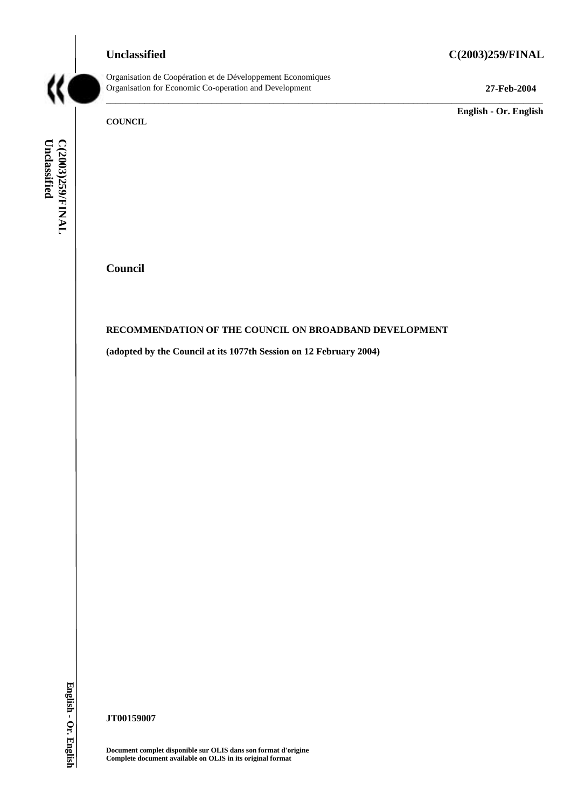## **Unclassified C(2003)259/FINAL**

\_\_\_\_\_\_\_\_\_\_\_\_\_\_\_\_\_\_\_\_\_\_\_\_\_\_\_\_\_\_\_\_\_\_\_\_\_\_\_\_\_\_\_\_\_\_\_\_\_\_\_\_\_\_\_\_\_\_\_\_\_\_\_\_\_\_\_\_\_\_\_\_\_\_\_\_\_\_\_\_\_\_\_\_\_\_\_\_\_\_\_

Organisation de Coopération et de Développement Economiques Organisation for Economic Co-operation and Development **27-Feb-2004** 

**English - Or. English** 

**COUNCIL** 

Unclassified C(2003)259/FINAL **Unclassified C(2003)259/FINAL English - Or. English** 

**Council** 

## **RECOMMENDATION OF THE COUNCIL ON BROADBAND DEVELOPMENT**

**(adopted by the Council at its 1077th Session on 12 February 2004)** 

**JT00159007** 

**Document complet disponible sur OLIS dans son format d'origine Complete document available on OLIS in its original format**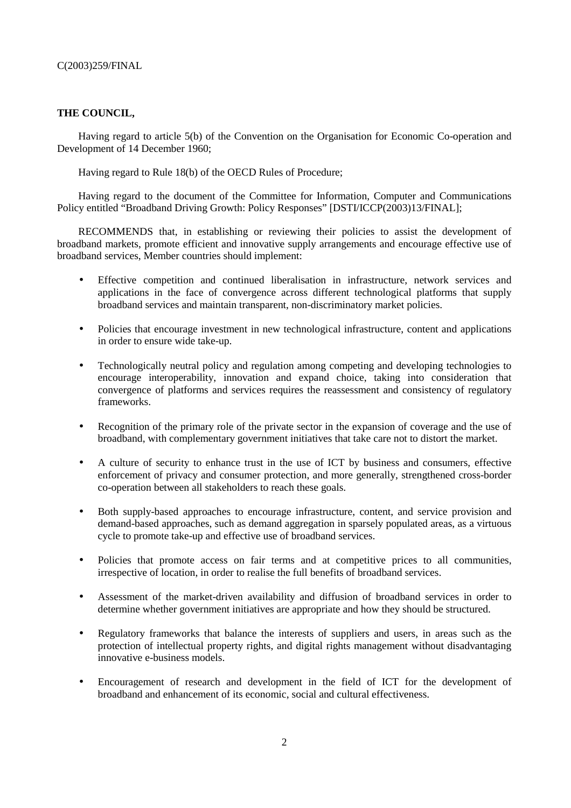## **THE COUNCIL,**

Having regard to article 5(b) of the Convention on the Organisation for Economic Co-operation and Development of 14 December 1960;

Having regard to Rule 18(b) of the OECD Rules of Procedure;

Having regard to the document of the Committee for Information, Computer and Communications Policy entitled "Broadband Driving Growth: Policy Responses" [DSTI/ICCP(2003)13/FINAL];

RECOMMENDS that, in establishing or reviewing their policies to assist the development of broadband markets, promote efficient and innovative supply arrangements and encourage effective use of broadband services, Member countries should implement:

- Effective competition and continued liberalisation in infrastructure, network services and applications in the face of convergence across different technological platforms that supply broadband services and maintain transparent, non-discriminatory market policies.
- Policies that encourage investment in new technological infrastructure, content and applications in order to ensure wide take-up.
- Technologically neutral policy and regulation among competing and developing technologies to encourage interoperability, innovation and expand choice, taking into consideration that convergence of platforms and services requires the reassessment and consistency of regulatory frameworks.
- Recognition of the primary role of the private sector in the expansion of coverage and the use of broadband, with complementary government initiatives that take care not to distort the market.
- A culture of security to enhance trust in the use of ICT by business and consumers, effective enforcement of privacy and consumer protection, and more generally, strengthened cross-border co-operation between all stakeholders to reach these goals.
- Both supply-based approaches to encourage infrastructure, content, and service provision and demand-based approaches, such as demand aggregation in sparsely populated areas, as a virtuous cycle to promote take-up and effective use of broadband services.
- Policies that promote access on fair terms and at competitive prices to all communities, irrespective of location, in order to realise the full benefits of broadband services.
- Assessment of the market-driven availability and diffusion of broadband services in order to determine whether government initiatives are appropriate and how they should be structured.
- Regulatory frameworks that balance the interests of suppliers and users, in areas such as the protection of intellectual property rights, and digital rights management without disadvantaging innovative e-business models.
- Encouragement of research and development in the field of ICT for the development of broadband and enhancement of its economic, social and cultural effectiveness.